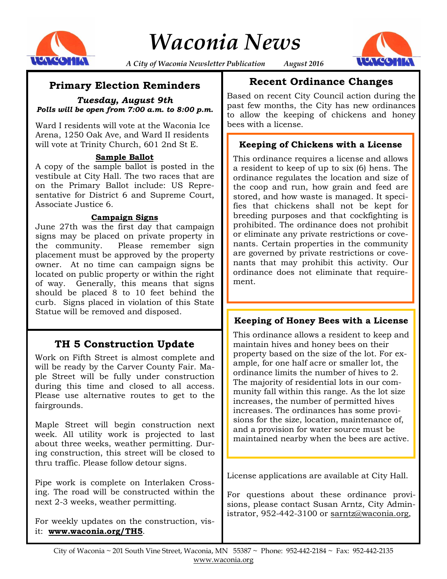

*Waconia News*



*A City of Waconia Newsletter Publication August 2016*

# **Primary Election Reminders**

*Tuesday, August 9th Polls will be open from 7:00 a.m. to 8:00 p.m.*

Ward I residents will vote at the Waconia Ice Arena, 1250 Oak Ave, and Ward II residents will vote at Trinity Church, 601 2nd St E.

#### **Sample Ballot**

A copy of the sample ballot is posted in the vestibule at City Hall. The two races that are on the Primary Ballot include: US Representative for District 6 and Supreme Court, Associate Justice 6.

#### **Campaign Signs**

June 27th was the first day that campaign signs may be placed on private property in the community. Please remember sign placement must be approved by the property owner. At no time can campaign signs be located on public property or within the right of way. Generally, this means that signs should be placed 8 to 10 feet behind the curb. Signs placed in violation of this State Statue will be removed and disposed.

# **TH 5 Construction Update**

Work on Fifth Street is almost complete and will be ready by the Carver County Fair. Maple Street will be fully under construction during this time and closed to all access. Please use alternative routes to get to the fairgrounds.

Maple Street will begin construction next week. All utility work is projected to last about three weeks, weather permitting. During construction, this street will be closed to thru traffic. Please follow detour signs.

Pipe work is complete on Interlaken Crossing. The road will be constructed within the next 2-3 weeks, weather permitting.

For weekly updates on the construction, visit: **www.waconia.org/TH5**.

# **Recent Ordinance Changes**

Based on recent City Council action during the past few months, the City has new ordinances to allow the keeping of chickens and honey bees with a license.

### **Keeping of Chickens with a License**

This ordinance requires a license and allows a resident to keep of up to six (6) hens. The ordinance regulates the location and size of the coop and run, how grain and feed are stored, and how waste is managed. It specifies that chickens shall not be kept for breeding purposes and that cockfighting is prohibited. The ordinance does not prohibit or eliminate any private restrictions or covenants. Certain properties in the community are governed by private restrictions or covenants that may prohibit this activity. Our ordinance does not eliminate that requirement.

### **Keeping of Honey Bees with a License**

This ordinance allows a resident to keep and maintain hives and honey bees on their property based on the size of the lot. For example, for one half acre or smaller lot, the ordinance limits the number of hives to 2. The majority of residential lots in our community fall within this range. As the lot size increases, the number of permitted hives increases. The ordinances has some provisions for the size, location, maintenance of, and a provision for water source must be maintained nearby when the bees are active.

License applications are available at City Hall.

For questions about these ordinance provisions, please contact Susan Arntz, City Administrator, 952-442-3100 or sarntz@waconia.org,